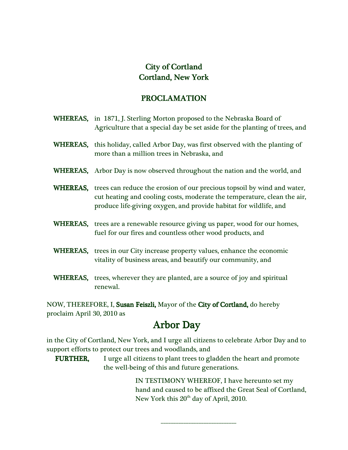## City of Cortland Cortland, New York York

## PROCLAMATION PROCLAMATION

WHEREAS, in 1871, J. Sterling Morton proposed to the Nebraska Board of Agriculture that a special day be set aside for the planting of trees, and WHEREAS, this holiday, called Arbor Day, was first observed with the planting of more than a million trees in Nebraska, and WHEREAS, Arbor Day is now observed throughout the nation and the world, and WHEREAS, trees can reduce the erosion of our precious topsoil by wind and water, cut heating and cooling costs, moderate the temperature, clean the air, produce life-giving oxygen, and provide habitat for wildlife, and WHEREAS, trees are a renewable resource giving us paper, wood for our homes, fuel for our fires and countless other wood products, and WHEREAS, trees in our City increase property values, enhance the economic vitality of business areas, and beautify our community, and WHEREAS, trees, wherever they are planted, are a source of joy and spiritual renewal.

NOW, THEREFORE, I, Susan Feiszli, Mayor of the City of Cortland, do hereby proclaim April 30, 2010 as

## **Arbor Day**

 in the City of Cortland, New York, and I urge all citizens to celebrate Arbor Day and to support efforts to protect our trees and woodlands, and

 FURTHER, FURTHER, I urge all citizens to plant trees to gladden the heart and promote the well-being of this and future generations.

> IN TESTIMONY WHEREOF, I have hereunto set my hand and caused to be affixed the Great Seal of Cortland, New York this  $20^{th}$  day of April, 2010.

> > \_\_\_\_\_\_\_\_\_\_\_\_\_\_\_\_\_\_\_\_\_\_\_\_\_\_\_\_\_\_